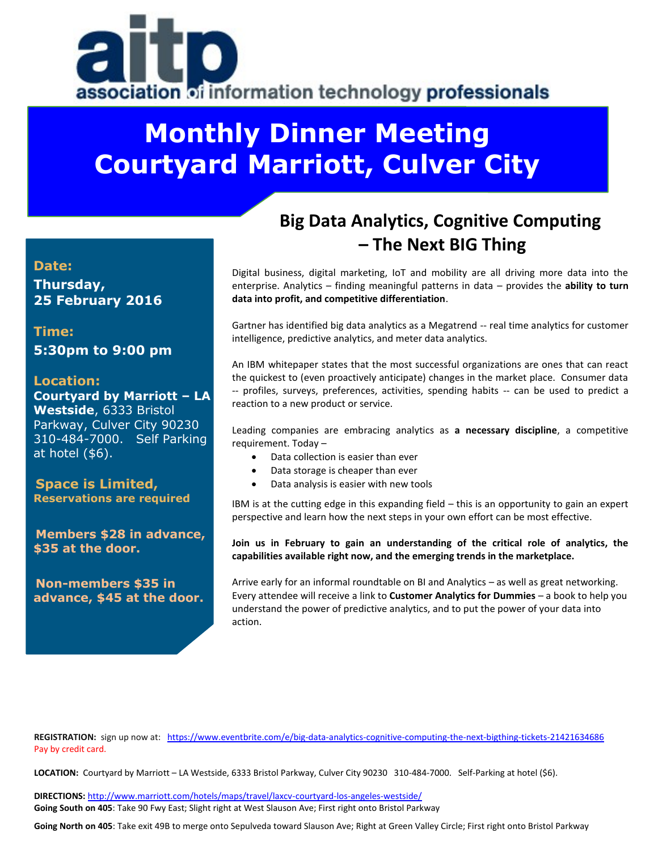

# **Monthly Dinner Meeting Courtyard Marriott, Culver City**

#### **Date:**

**Thursday, 25 February 2016**

**Time: 5:30pm to 9:00 pm**

#### **Location:**

**Courtyard by Marriott – LA Westside**, 6333 Bristol Parkway, Culver City 90230 310-484-7000. Self Parking at hotel (\$6).

**Space is Limited, Reservations are required**

**Members \$28 in advance, \$35 at the door.**

**Non-members \$35 in advance, \$45 at the door.** 

# **Big Data Analytics, Cognitive Computing – The Next BIG Thing**

Digital business, digital marketing, IoT and mobility are all driving more data into the enterprise. Analytics – finding meaningful patterns in data – provides the **ability to turn data into profit, and competitive differentiation**.

Gartner has identified big data analytics as a Megatrend -- real time analytics for customer intelligence, predictive analytics, and meter data analytics.

An IBM whitepaper states that the most successful organizations are ones that can react the quickest to (even proactively anticipate) changes in the market place. Consumer data -- profiles, surveys, preferences, activities, spending habits -- can be used to predict a reaction to a new product or service.

Leading companies are embracing analytics as **a necessary discipline**, a competitive requirement. Today –

- Data collection is easier than ever
- Data storage is cheaper than ever
- Data analysis is easier with new tools

IBM is at the cutting edge in this expanding field – this is an opportunity to gain an expert perspective and learn how the next steps in your own effort can be most effective.

**Join us in February to gain an understanding of the critical role of analytics, the capabilities available right now, and the emerging trends in the marketplace.** 

Arrive early for an informal roundtable on BI and Analytics – as well as great networking. Every attendee will receive a link to **Customer Analytics for Dummies** – a book to help you understand the power of predictive analytics, and to put the power of your data into action.

REGISTRATION: sign up now at: <https://www.eventbrite.com/e/big-data-analytics-cognitive-computing-the-next-bigthing-tickets-21421634686> Pay by credit card.

**LOCATION:** Courtyard by Marriott – LA Westside, 6333 Bristol Parkway, Culver City 90230 310-484-7000. Self-Parking at hotel (\$6).

**DIRECTIONS:** <http://www.marriott.com/hotels/maps/travel/laxcv-courtyard-los-angeles-westside/> **Going South on 405**: Take 90 Fwy East; Slight right at West Slauson Ave; First right onto Bristol Parkway

**Going North on 405**: Take exit 49B to merge onto Sepulveda toward Slauson Ave; Right at Green Valley Circle; First right onto Bristol Parkway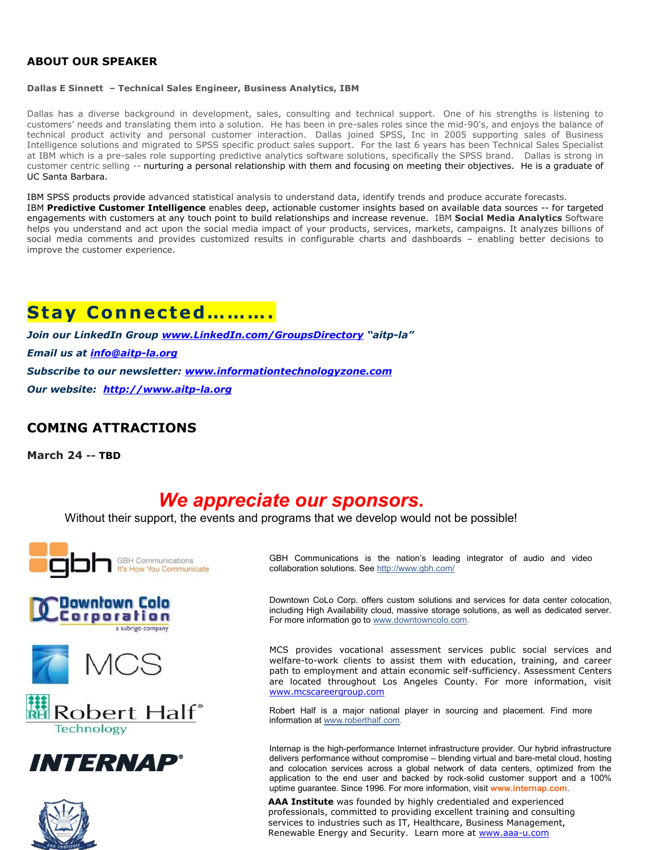#### **ABOUT OUR SPEAKER**

#### **Dallas E Sinnett – Technical Sales Engineer, Business Analytics, IBM**

Dallas has a diverse background in development, sales, consulting and technical support. One of his strengths is listening to customers' needs and translating them into a solution. He has been in pre-sales roles since the mid-90's, and enjoys the balance of technical product activity and personal customer interaction. Dallas joined SPSS, Inc in 2005 supporting sales of Business Intelligence solutions and migrated to SPSS specific product sales support. For the last 6 years has been Technical Sales Specialist at IBM which is a pre-sales role supporting predictive analytics software solutions, specifically the SPSS brand. Dallas is strong in customer centric selling -- nurturing a personal relationship with them and focusing on meeting their objectives. He is a graduate of UC Santa Barbara.

IBM SPSS products provide advanced statistical analysis to understand data, identify trends and produce accurate forecasts. IBM **Predictive Customer Intelligence** enables deep, actionable customer insights based on available data sources -- for targeted engagements with customers at any touch point to build relationships and increase revenue. IBM **Social Media Analytics** Software helps you understand and act upon the social media impact of your products, services, markets, campaigns. It analyzes billions of social media comments and provides customized results in configurable charts and dashboards – enabling better decisions to improve the customer experience.

## **Stay Connected……….**

*Join our LinkedIn Group [www.LinkedIn.com/GroupsDirectory](http://www.linkedin.com/GroupsDirectory) "aitp-la" Email us at [info@aitp-la.org](mailto:info@aitp-la.org) Subscribe to our newsletter: [www.informationtechnologyzone.com](http://www.informationtechnologyzone.com/) Our website: [http://www.aitp-la.org](http://www.aitp-la.org/)*

#### **COMING ATTRACTIONS**

**March 24 -- TBD**

### *We appreciate our sponsors***.**

Without their support, the events and programs that we develop would not be possible!













GBH Communications is the nation's leading integrator of audio and video collaboration solutions. Se[e http://www.gbh.com/](http://www.gbh.com/)

Downtown CoLo Corp. offers custom solutions and services for data center colocation, including High Availability cloud, massive storage solutions, as well as dedicated server. For more information go t[o www.downtowncolo.com.](http://www.downtowncolo.com/)

MCS provides vocational assessment services public social services and welfare-to-work clients to assist them with education, training, and career path to employment and attain economic self-sufficiency. Assessment Centers are located throughout Los Angeles County. For more information, visit [www.mcscareergroup.com](http://www.mcscareergroup.com/)

Robert Half is a major national player in sourcing and placement. Find more information at [www.roberthalf.com.](http://www.roberthalf.com/)

Internap is the high-performance Internet infrastructure provider. Our hybrid infrastructure delivers performance without compromise – blending virtual and bare-metal cloud, hosting and colocation services across a global network of data centers, optimized from the application to the end user and backed by rock-solid customer support and a 100% uptime guarantee. Since 1996. For more information, visit **www.internap.com**.

**AAA Institute** was founded by highly credentiale[d and experienced](http://www.internap.com/)  professionals, committed to providing excellent training and consulting services to industries such as IT, Healthcare, Business Management, Renewable Energy and Security. Learn more at [www.aaa-u.com](http://www.aaa-u.com/)